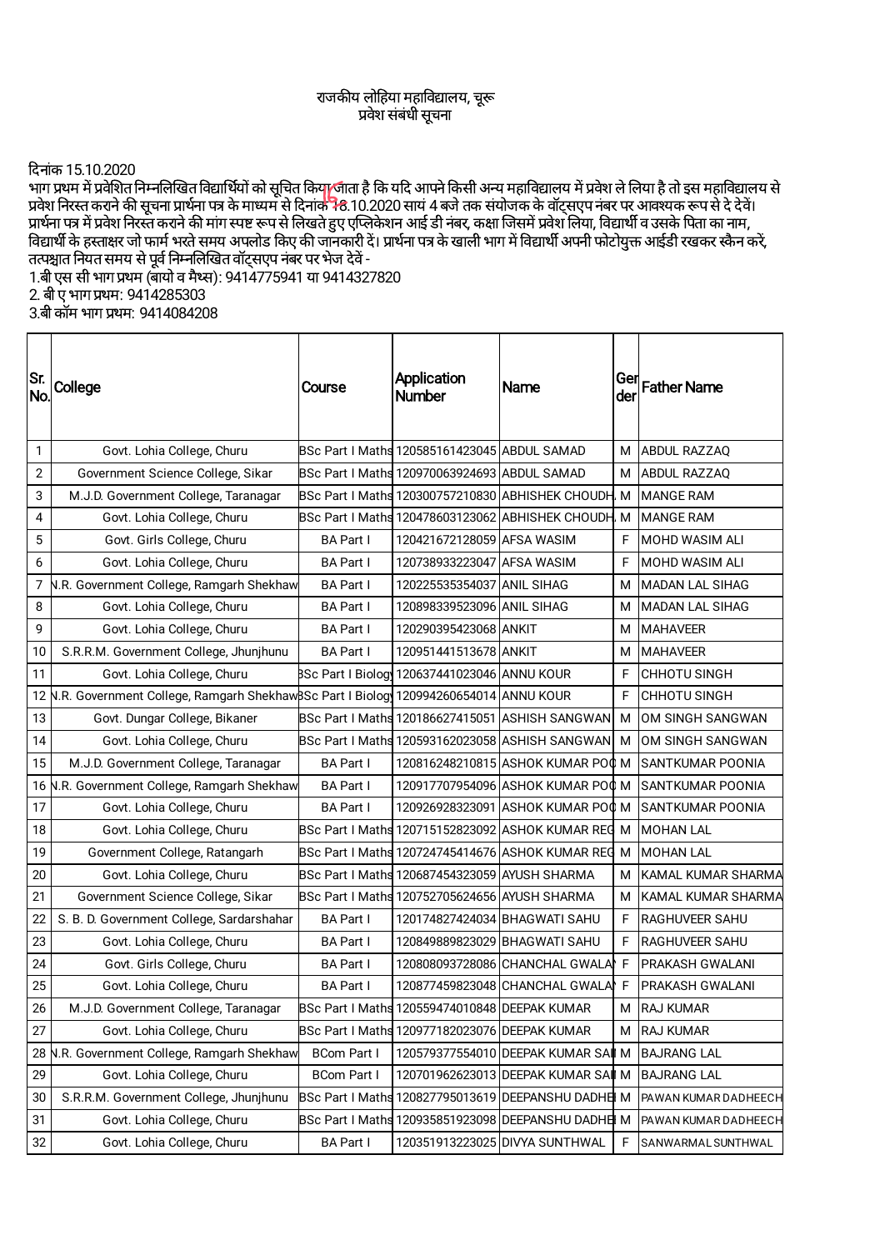## राजकीय लोहिया महाविद्यालय, चूरू वेश संबंधी सूचना

दनांक 15.10.2020

भाग प्रथम में प्रवेशित निम्नलिखित विद्यार्थियों को सचित किया जाता है कि यदि आपने किसी अन्य महाविद्या लेलया है तो इस महाविद्यालय से प्रवेश निरस्त कराने की सूचना प्रार्थना पत्र के माध्यम से दिनांक 18.10.2020 सायं 4 बजे तक संयोजक के वॉट्सएप नंबर पर आवश्यक रूप से दे देवे। प्रार्थना पत्र में प्रवेश निरस्त कराने की मांग स्पष्ट रूप से लिखते हुए एप्लिकेशन आई डी नंबर, कक्षा जिसमें प्रवेश लिया, विद्यार्थी व उसके पिता का नाम, विद्यार्थी के हस्ताक्षर जो फार्म भरते समय अपलोड किए की जानकारी दें। प्रार्थना पत्र के खाली भाग में विद्यार्थी अपनी फोटोयक्त आईडी रखकर स्कैन करें. त्मधाना नगर सामय से पूर्व निम्नलिखित वॉट्सएप नंबर पर भेज देवें -<br>तत्पश्चात नियत समय से पूर्व निम्नलिखित वॉट्सएप नंबर पर भेज देवें -

1.बी एस सी भाग थम (बायो व मैस): 9414775941 या 9414327820

2. बी ए भाग थम: 9414285303

3.बी कॉम भाग थम: 9414084208

| Sr.<br>No.   | College                                                                    | Course                  | <b>Application</b><br><b>Number</b>                 | Name                                              | Ger<br>der | <b>Father Name</b>        |
|--------------|----------------------------------------------------------------------------|-------------------------|-----------------------------------------------------|---------------------------------------------------|------------|---------------------------|
| $\mathbf{1}$ | Govt. Lohia College, Churu                                                 |                         | BSc Part I Maths 120585161423045 ABDUL SAMAD        |                                                   | М          | ABDUL RAZZAQ              |
| 2            | Government Science College, Sikar                                          |                         | BSc Part I Maths 120970063924693 ABDUL SAMAD        |                                                   | м          | ABDUL RAZZAQ              |
| 3            | M.J.D. Government College, Taranagar                                       |                         |                                                     | BSc Part I Maths 120300757210830 ABHISHEK CHOUDH. | M          | <b>MANGE RAM</b>          |
| 4            | Govt. Lohia College, Churu                                                 |                         |                                                     | BSc Part I Maths 120478603123062 ABHISHEK CHOUDH  | м          | <b>MANGE RAM</b>          |
| 5            | Govt. Girls College, Churu                                                 | <b>BA Part I</b>        | 120421672128059 AFSA WASIM                          |                                                   | F          | <b>MOHD WASIM ALI</b>     |
| 6            | Govt. Lohia College, Churu                                                 | <b>BA Part I</b>        | 120738933223047                                     | IAFSA WASIM                                       | F          | <b>MOHD WASIM ALI</b>     |
| 7            | N.R. Government College, Ramgarh Shekhaw                                   | <b>BA Part I</b>        | 120225535354037                                     | <b>JANIL SIHAG</b>                                | м          | <b>MADAN LAL SIHAG</b>    |
| 8            | Govt. Lohia College, Churu                                                 | <b>BA Part I</b>        | 120898339523096 ANIL SIHAG                          |                                                   | м          | <b>MADAN LAL SIHAG</b>    |
| 9            | Govt. Lohia College, Churu                                                 | <b>BA Part I</b>        | 120290395423068 ANKIT                               |                                                   | м          | <b>MAHAVEER</b>           |
| 10           | S.R.R.M. Government College, Jhunjhunu                                     | <b>BA Part I</b>        | 120951441513678 ANKIT                               |                                                   | м          | <b>MAHAVEER</b>           |
| 11           | Govt. Lohia College, Churu                                                 |                         | <b>BSc Part I Biology 120637441023046 ANNU KOUR</b> |                                                   | F          | <b>CHHOTU SINGH</b>       |
| 12           | N.R. Government College, Ramgarh ShekhawBSc Part I Biology 120994260654014 |                         |                                                     | <b>JANNU KOUR</b>                                 | F          | <b>CHHOTU SINGH</b>       |
| 13           | Govt. Dungar College, Bikaner                                              |                         | BSc Part I Maths 120186627415051                    | <b>JASHISH SANGWAN</b>                            | м          | OM SINGH SANGWAN          |
| 14           | Govt. Lohia College, Churu                                                 |                         | BSc Part I Maths 120593162023058                    | ASHISH SANGWAN                                    | м          | OM SINGH SANGWAN          |
| 15           | M.J.D. Government College, Taranagar                                       | <b>BA Part I</b>        |                                                     | 120816248210815 ASHOK KUMAR POOM                  |            | <b>SANTKUMAR POONIA</b>   |
|              | 16 N.R. Government College, Ramgarh Shekhaw                                | <b>BA Part I</b>        |                                                     | 120917707954096 ASHOK KUMAR POO M                 |            | SANTKUMAR POONIA          |
| 17           | Govt. Lohia College, Churu                                                 | <b>BA Part I</b>        |                                                     | 120926928323091 JASHOK KUMAR POC M                |            | SANTKUMAR POONIA          |
| 18           | Govt. Lohia College, Churu                                                 |                         |                                                     | BSc Part I Maths 120715152823092 ASHOK KUMAR REG  | M          | <b>MOHAN LAL</b>          |
| 19           | Government College, Ratangarh                                              |                         |                                                     | BSc Part I Maths 120724745414676 ASHOK KUMAR REG  | M          | <b>MOHAN LAL</b>          |
| 20           | Govt. Lohia College, Churu                                                 |                         | BSc Part I Maths 120687454323059                    | IAYUSH SHARMA                                     | м          | <b>KAMAL KUMAR SHARMA</b> |
| 21           | Government Science College, Sikar                                          |                         | BSc Part I Maths 120752705624656 AYUSH SHARMA       |                                                   | м          | <b>KAMAL KUMAR SHARMA</b> |
| 22           | S. B. D. Government College, Sardarshahar                                  | <b>BA Part I</b>        | 120174827424034                                     | <b>IBHAGWATI SAHU</b>                             | F          | RAGHUVEER SAHU            |
| 23           | Govt. Lohia College, Churu                                                 | <b>BA Part I</b>        | 120849889823029 BHAGWATI SAHU                       |                                                   | F          | <b>RAGHUVEER SAHU</b>     |
| 24           | Govt. Girls College, Churu                                                 | <b>BA Part I</b>        |                                                     | 120808093728086 CHANCHAL GWALA                    | F          | <b>PRAKASH GWALANI</b>    |
| 25           | Govt. Lohia College, Churu                                                 | <b>BA Part I</b>        |                                                     | 120877459823048 CHANCHAL GWALA                    | F          | <b>PRAKASH GWALANI</b>    |
| 26           | M.J.D. Government College, Taranagar                                       |                         | BSc Part I Maths 120559474010848 DEEPAK KUMAR       |                                                   | м          | RAJ KUMAR                 |
| 27           | Govt. Lohia College, Churu                                                 |                         | BSc Part I Maths 120977182023076 DEEPAK KUMAR       |                                                   | м          | RAJ KUMAR                 |
| 28           | N.R. Government College, Ramgarh Shekhaw                                   | <b>BCom Part I</b>      |                                                     | 120579377554010 DEEPAK KUMAR SAI                  | м          | <b>BAJRANG LAL</b>        |
| 29           | Govt. Lohia College, Churu                                                 | <b>BCom Part I</b>      |                                                     | 120701962623013 DEEPAK KUMAR SAII M               |            | <b>BAJRANG LAL</b>        |
| 30           | S.R.R.M. Government College, Jhunjhunu                                     | <b>BSc Part I Maths</b> | 120827795013619                                     | DEEPANSHU DADHE M                                 |            | PAWAN KUMAR DADHEECH      |
| 31           | Govt. Lohia College, Churu                                                 | <b>BSc Part I Maths</b> |                                                     | 120935851923098 DEEPANSHU DADH日 M                 |            | PAWAN KUMAR DADHEECH      |
| 32           | Govt. Lohia College, Churu                                                 | <b>BA Part I</b>        |                                                     | 120351913223025 DIVYA SUNTHWAL                    | F          | SANWARMAL SUNTHWAL        |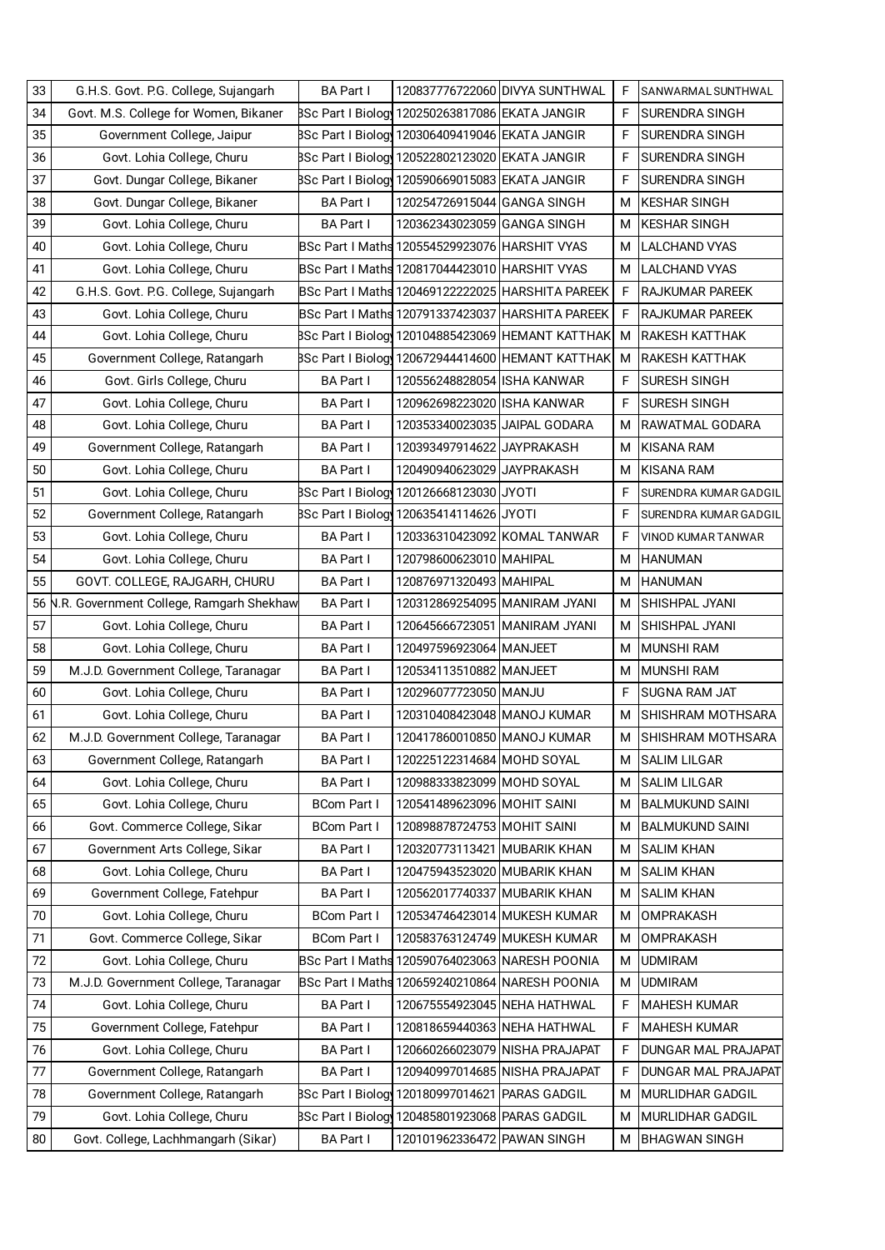| 33 | G.H.S. Govt. P.G. College, Sujangarh     | <b>BA Part I</b>   |                                                   | 120837776722060 DIVYA SUNTHWAL                      | F | SANWARMAL SUNTHWAL     |
|----|------------------------------------------|--------------------|---------------------------------------------------|-----------------------------------------------------|---|------------------------|
| 34 | Govt. M.S. College for Women, Bikaner    |                    | 8Sc Part I Biology 120250263817086 EKATA JANGIR   |                                                     | F | <b>SURENDRA SINGH</b>  |
| 35 | Government College, Jaipur               |                    |                                                   |                                                     | F | <b>SURENDRA SINGH</b>  |
| 36 | Govt. Lohia College, Churu               |                    |                                                   |                                                     | F | <b>SURENDRA SINGH</b>  |
| 37 | Govt. Dungar College, Bikaner            |                    | BSc Part I Biolog  120590669015083 EKATA JANGIR   |                                                     | F | <b>SURENDRA SINGH</b>  |
| 38 | Govt. Dungar College, Bikaner            | <b>BA Part I</b>   | 120254726915044 GANGA SINGH                       |                                                     | М | <b>KESHAR SINGH</b>    |
| 39 | Govt. Lohia College, Churu               | BA Part I          | 120362343023059 GANGA SINGH                       |                                                     | М | <b>KESHAR SINGH</b>    |
| 40 | Govt. Lohia College, Churu               |                    | BSc Part I Maths 120554529923076 HARSHIT VYAS     |                                                     | М | <b>LALCHAND VYAS</b>   |
| 41 | Govt. Lohia College, Churu               |                    | BSc Part I Maths 120817044423010 HARSHIT VYAS     |                                                     | м | <b>LALCHAND VYAS</b>   |
| 42 | G.H.S. Govt. P.G. College, Sujangarh     |                    |                                                   | BSc Part I Maths 120469122222025 HARSHITA PAREEK    | F | <b>RAJKUMAR PAREEK</b> |
| 43 | Govt. Lohia College, Churu               |                    |                                                   | BSc Part I Maths 120791337423037 HARSHITA PAREEK    | F | RAJKUMAR PAREEK        |
| 44 | Govt. Lohia College, Churu               |                    |                                                   | BSc Part   Biology 120104885423069 HEMANT KATTHAK   | м | <b>RAKESH KATTHAK</b>  |
| 45 | Government College, Ratangarh            |                    |                                                   | BSc Part I Biolog  120672944414600   HEMANT KATTHAK | м | <b>RAKESH KATTHAK</b>  |
| 46 | Govt. Girls College, Churu               | <b>BA Part I</b>   | 120556248828054 ISHA KANWAR                       |                                                     | F | <b>SURESH SINGH</b>    |
| 47 | Govt. Lohia College, Churu               | BA Part I          | 120962698223020 ISHA KANWAR                       |                                                     | F | SURESH SINGH           |
| 48 | Govt. Lohia College, Churu               | <b>BA Part I</b>   | 120353340023035 JAIPAL GODARA                     |                                                     | м | RAWATMAL GODARA        |
| 49 | Government College, Ratangarh            | <b>BA Part I</b>   | 120393497914622 JJAYPRAKASH                       |                                                     | М | <b>KISANA RAM</b>      |
| 50 | Govt. Lohia College, Churu               | <b>BA Part I</b>   | 120490940623029 JAYPRAKASH                        |                                                     | м | <b>KISANA RAM</b>      |
| 51 | Govt. Lohia College, Churu               |                    | BSc Part   Biolog\ 120126668123030  JYOTI         |                                                     | F | SURENDRA KUMAR GADGIL  |
| 52 | Government College, Ratangarh            |                    | 8Sc Part I Biolog  120635414114626 JYOTI          |                                                     | F | SURENDRA KUMAR GADGIL  |
| 53 | Govt. Lohia College, Churu               | BA Part I          | 120336310423092 KOMAL TANWAR                      |                                                     | F | VINOD KUMAR TANWAR     |
| 54 | Govt. Lohia College, Churu               | <b>BA Part I</b>   | 120798600623010 MAHIPAL                           |                                                     | м | <b>HANUMAN</b>         |
| 55 | GOVT. COLLEGE, RAJGARH, CHURU            | <b>BA Part I</b>   | 120876971320493 MAHIPAL                           |                                                     | М | <b>HANUMAN</b>         |
| 56 | N.R. Government College, Ramgarh Shekhaw | <b>BA Part I</b>   | 120312869254095 MANIRAM JYANI                     |                                                     | М | SHISHPAL JYANI         |
| 57 | Govt. Lohia College, Churu               | BA Part I          | 120645666723051 MANIRAM JYANI                     |                                                     | м | SHISHPAL JYANI         |
| 58 | Govt. Lohia College, Churu               | BA Part I          | 120497596923064 MANJEET                           |                                                     | м | <b>MUNSHI RAM</b>      |
| 59 | M.J.D. Government College, Taranagar     | <b>BA Part I</b>   | 120534113510882 MANJEET                           |                                                     | м | <b>MUNSHI RAM</b>      |
| 60 | Govt. Lohia College, Churu               | <b>BA Part I</b>   | 120296077723050 MANJU                             |                                                     | F | SUGNA RAM JAT          |
| 61 | Govt. Lohia College, Churu               | BA Part I          | 120310408423048 MANOJ KUMAR                       |                                                     | м | SHISHRAM MOTHSARA      |
| 62 | M.J.D. Government College, Taranagar     | BA Part I          | 120417860010850 MANOJ KUMAR                       |                                                     | м | SHISHRAM MOTHSARA      |
| 63 | Government College, Ratangarh            | <b>BA Part I</b>   | 120225122314684 MOHD SOYAL                        |                                                     | м | <b>SALIM LILGAR</b>    |
| 64 | Govt. Lohia College, Churu               | <b>BA Part I</b>   | 120988333823099 MOHD SOYAL                        |                                                     | м | <b>SALIM LILGAR</b>    |
| 65 | Govt. Lohia College, Churu               | <b>BCom Part I</b> | 120541489623096 MOHIT SAINI                       |                                                     | м | <b>BALMUKUND SAINI</b> |
| 66 | Govt. Commerce College, Sikar            | <b>BCom Part I</b> | 120898878724753 MOHIT SAINI                       |                                                     | м | <b>BALMUKUND SAINI</b> |
| 67 | Government Arts College, Sikar           | <b>BA Part I</b>   | 120320773113421                                   | <b>MUBARIK KHAN</b>                                 | м | <b>SALIM KHAN</b>      |
| 68 | Govt. Lohia College, Churu               | <b>BA Part I</b>   | 120475943523020 MUBARIK KHAN                      |                                                     | м | <b>SALIM KHAN</b>      |
| 69 | Government College, Fatehpur             | <b>BA Part I</b>   | 120562017740337                                   | <b>MUBARIK KHAN</b>                                 | М | <b>SALIM KHAN</b>      |
| 70 | Govt. Lohia College, Churu               | <b>BCom Part I</b> | 120534746423014 MUKESH KUMAR                      |                                                     | М | OMPRAKASH              |
| 71 | Govt. Commerce College, Sikar            | <b>BCom Part I</b> | 120583763124749 MUKESH KUMAR                      |                                                     | М | OMPRAKASH              |
| 72 | Govt. Lohia College, Churu               |                    | BSc Part I Maths 120590764023063 NARESH POONIA    |                                                     | М | <b>UDMIRAM</b>         |
| 73 | M.J.D. Government College, Taranagar     |                    | BSc Part I Maths 120659240210864 NARESH POONIA    |                                                     | М | <b>UDMIRAM</b>         |
| 74 | Govt. Lohia College, Churu               | <b>BA Part I</b>   | 120675554923045 NEHA HATHWAL                      |                                                     | F | <b>MAHESH KUMAR</b>    |
| 75 | Government College, Fatehpur             | <b>BA Part I</b>   | 120818659440363 NEHA HATHWAL                      |                                                     | F | <b>MAHESH KUMAR</b>    |
| 76 | Govt. Lohia College, Churu               | <b>BA Part I</b>   | 120660266023079 NISHA PRAJAPAT                    |                                                     | F | DUNGAR MAL PRAJAPAT    |
| 77 | Government College, Ratangarh            | <b>BA Part I</b>   | 120940997014685 NISHA PRAJAPAT                    |                                                     | F | DUNGAR MAL PRAJAPAT    |
| 78 | Government College, Ratangarh            |                    | BSc Part I Biology 120180997014621                | <b>PARAS GADGIL</b>                                 | м | MURLIDHAR GADGIL       |
| 79 | Govt. Lohia College, Churu               |                    | BSc Part   Biolog  120485801923068   PARAS GADGIL |                                                     | М | MURLIDHAR GADGIL       |
| 80 | Govt. College, Lachhmangarh (Sikar)      | <b>BA Part I</b>   | 120101962336472 PAWAN SINGH                       |                                                     | м | <b>BHAGWAN SINGH</b>   |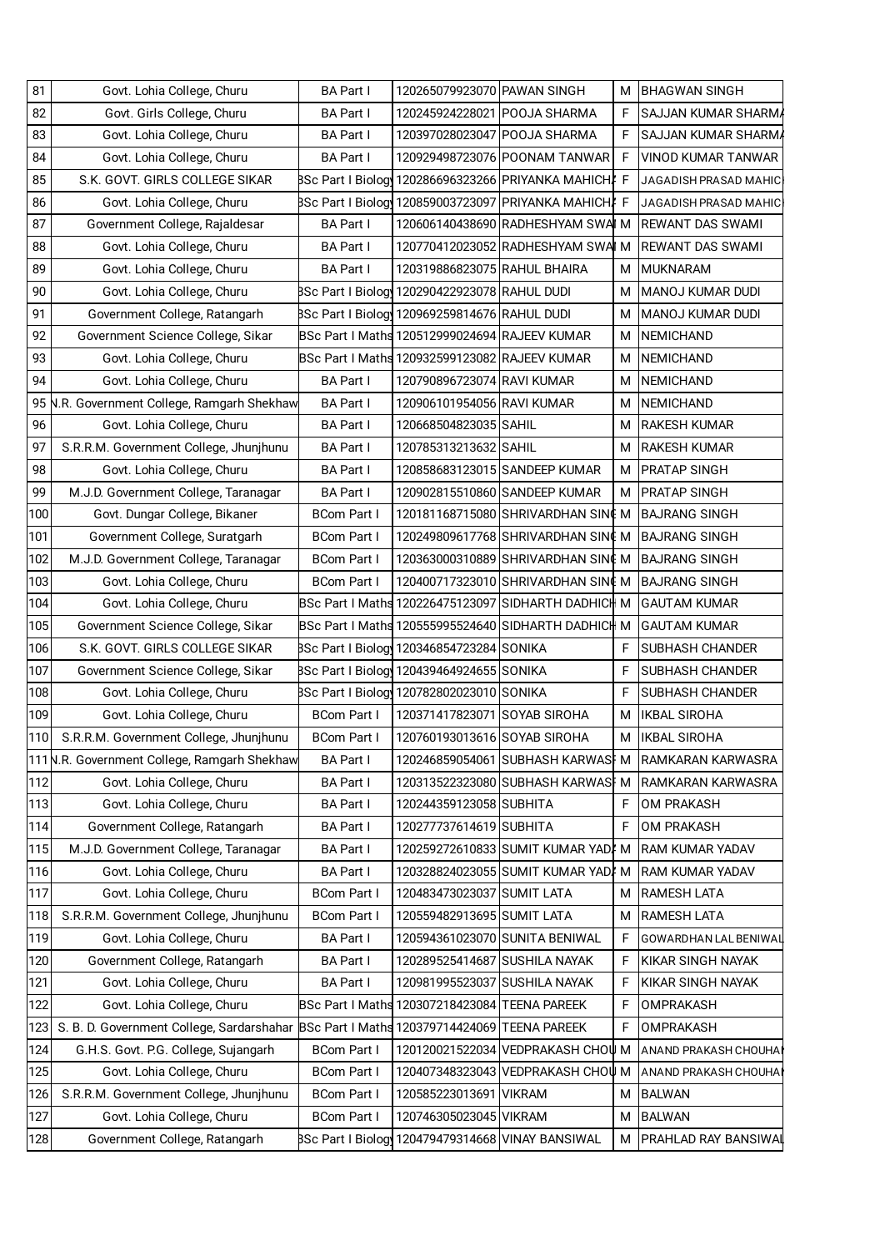| 81  | Govt. Lohia College, Churu                   | <b>BA Part I</b>   | 120265079923070 PAWAN SINGH                       |                                                       | м | <b>BHAGWAN SINGH</b>      |
|-----|----------------------------------------------|--------------------|---------------------------------------------------|-------------------------------------------------------|---|---------------------------|
| 82  | Govt. Girls College, Churu                   | <b>BA Part I</b>   | 120245924228021 POOJA SHARMA                      |                                                       | F | <b>SAJJAN KUMAR SHARM</b> |
| 83  | Govt. Lohia College, Churu                   | <b>BA Part I</b>   | 120397028023047 POOJA SHARMA                      |                                                       | F | <b>SAJJAN KUMAR SHARM</b> |
| 84  | Govt. Lohia College, Churu                   | <b>BA Part I</b>   |                                                   | 120929498723076 POONAM TANWAR                         | F | VINOD KUMAR TANWAR        |
| 85  | S.K. GOVT. GIRLS COLLEGE SIKAR               |                    |                                                   | BSc Part I Biolog  120286696323266 PRIYANKA MAHICH∤ F |   | JAGADISH PRASAD MAHIC     |
| 86  | Govt. Lohia College, Churu                   |                    |                                                   | BSc Part I Biolog  120859003723097 PRIYANKA MAHICH∤ F |   | JAGADISH PRASAD MAHIC     |
| 87  | Government College, Rajaldesar               | <b>BA Part I</b>   |                                                   | 120606140438690 RADHESHYAM SWAI M                     |   | <b>REWANT DAS SWAMI</b>   |
| 88  | Govt. Lohia College, Churu                   | <b>BA Part I</b>   |                                                   | 120770412023052 RADHESHYAM SWAI M                     |   | <b>REWANT DAS SWAMI</b>   |
| 89  | Govt. Lohia College, Churu                   | <b>BA Part I</b>   | 120319886823075 RAHUL BHAIRA                      |                                                       | м | <b>MUKNARAM</b>           |
| 90  | Govt. Lohia College, Churu                   |                    | 8Sc Part   Biolog 120290422923078 RAHUL DUDI      |                                                       | м | MANOJ KUMAR DUDI          |
| 91  | Government College, Ratangarh                |                    | 3Sc Part   Biolog  120969259814676  RAHUL DUDI    |                                                       | м | MANOJ KUMAR DUDI          |
| 92  | Government Science College, Sikar            |                    | BSc Part I Maths 120512999024694 RAJEEV KUMAR     |                                                       | м | NEMICHAND                 |
| 93  | Govt. Lohia College, Churu                   |                    | BSc Part I Maths 120932599123082 RAJEEV KUMAR     |                                                       | м | NEMICHAND                 |
| 94  | Govt. Lohia College, Churu                   | <b>BA Part I</b>   | 120790896723074 RAVI KUMAR                        |                                                       | м | <b>NEMICHAND</b>          |
| 95  | N.R. Government College, Ramgarh Shekhaw     | <b>BA Part I</b>   | 120906101954056 RAVI KUMAR                        |                                                       | м | <b>NEMICHAND</b>          |
| 96  | Govt. Lohia College, Churu                   | <b>BA Part I</b>   | 120668504823035 SAHIL                             |                                                       | M | <b>RAKESH KUMAR</b>       |
| 97  | S.R.R.M. Government College, Jhunjhunu       | <b>BA Part I</b>   | 120785313213632 SAHIL                             |                                                       | м | <b>RAKESH KUMAR</b>       |
| 98  | Govt. Lohia College, Churu                   | <b>BA Part I</b>   |                                                   | 120858683123015 SANDEEP KUMAR                         | м | <b>PRATAP SINGH</b>       |
| 99  | M.J.D. Government College, Taranagar         | <b>BA Part I</b>   |                                                   | 120902815510860 SANDEEP KUMAR                         | м | <b>PRATAP SINGH</b>       |
| 100 | Govt. Dungar College, Bikaner                | <b>BCom Part I</b> |                                                   | 120181168715080 SHRIVARDHAN SINCM                     |   | <b>BAJRANG SINGH</b>      |
| 101 | Government College, Suratgarh                | <b>BCom Part I</b> |                                                   | 120249809617768 SHRIVARDHAN SINCM                     |   | <b>BAJRANG SINGH</b>      |
| 102 | M.J.D. Government College, Taranagar         | <b>BCom Part I</b> |                                                   | 120363000310889 SHRIVARDHAN SINCM                     |   | BAJRANG SINGH             |
| 103 | Govt. Lohia College, Churu                   | <b>BCom Part I</b> |                                                   | 120400717323010 SHRIVARDHAN SINC M                    |   | <b>BAJRANG SINGH</b>      |
| 104 | Govt. Lohia College, Churu                   |                    |                                                   | BSc Part I Maths 120226475123097 SIDHARTH DADHICH M   |   | <b>GAUTAM KUMAR</b>       |
| 105 | Government Science College, Sikar            |                    |                                                   | BSc Part I Maths 120555995524640 SIDHARTH DADHICH M   |   | <b>GAUTAM KUMAR</b>       |
| 106 | S.K. GOVT. GIRLS COLLEGE SIKAR               |                    | 8Sc Part   Biology 120346854723284 SONIKA         |                                                       | F | SUBHASH CHANDER           |
| 107 | Government Science College, Sikar            |                    | BSc Part I Biolog  120439464924655   SONIKA       |                                                       | F | <b>SUBHASH CHANDER</b>    |
| 108 | Govt. Lohia College, Churu                   |                    | 8Sc Part   Biology 120782802023010 SONIKA         |                                                       | F | SUBHASH CHANDER           |
| 109 | Govt. Lohia College, Churu                   | <b>BCom Part I</b> | 120371417823071 SOYAB SIROHA                      |                                                       | M | <b>IKBAL SIROHA</b>       |
| 110 | S.R.R.M. Government College, Jhunjhunu       | <b>BCom Part I</b> | 120760193013616 SOYAB SIROHA                      |                                                       | М | <b>IKBAL SIROHA</b>       |
|     | 111 N.R. Government College, Ramgarh Shekhaw | <b>BA Part I</b>   |                                                   | 120246859054061 SUBHASH KARWAS M                      |   | RAMKARAN KARWASRA         |
| 112 | Govt. Lohia College, Churu                   | <b>BA Part I</b>   |                                                   | 120313522323080 SUBHASH KARWAS M                      |   | RAMKARAN KARWASRA         |
| 113 | Govt. Lohia College, Churu                   | <b>BA Part I</b>   | 120244359123058 SUBHITA                           |                                                       | F | OM PRAKASH                |
| 114 | Government College, Ratangarh                | <b>BA Part I</b>   | 120277737614619 SUBHITA                           |                                                       | F | <b>OM PRAKASH</b>         |
| 115 | M.J.D. Government College, Taranagar         | <b>BA Part I</b>   |                                                   | 120259272610833 SUMIT KUMAR YADAM                     |   | RAM KUMAR YADAV           |
| 116 | Govt. Lohia College, Churu                   | <b>BA Part I</b>   |                                                   | 120328824023055 SUMIT KUMAR YADA M                    |   | RAM KUMAR YADAV           |
| 117 | Govt. Lohia College, Churu                   | <b>BCom Part I</b> | 120483473023037 SUMIT LATA                        |                                                       | м | RAMESH LATA               |
| 118 | S.R.R.M. Government College, Jhunjhunu       | <b>BCom Part I</b> | 120559482913695 SUMIT LATA                        |                                                       | м | RAMESH LATA               |
| 119 | Govt. Lohia College, Churu                   | <b>BA Part I</b>   | 120594361023070 SUNITA BENIWAL                    |                                                       | F | GOWARDHAN LAL BENIWAL     |
| 120 | Government College, Ratangarh                | <b>BA Part I</b>   | 120289525414687 SUSHILA NAYAK                     |                                                       | F | KIKAR SINGH NAYAK         |
| 121 | Govt. Lohia College, Churu                   | <b>BA Part I</b>   | 120981995523037 SUSHILA NAYAK                     |                                                       | F | KIKAR SINGH NAYAK         |
| 122 | Govt. Lohia College, Churu                   |                    | BSc Part I Maths 120307218423084 TEENA PAREEK     |                                                       | F | OMPRAKASH                 |
| 123 | S. B. D. Government College, Sardarshahar    |                    | BSc Part I Maths 120379714424069 TEENA PAREEK     |                                                       | F | OMPRAKASH                 |
| 124 | G.H.S. Govt. P.G. College, Sujangarh         | <b>BCom Part I</b> |                                                   | 120120021522034 VEDPRAKASH CHOU M                     |   | ANAND PRAKASH CHOUHAI     |
| 125 | Govt. Lohia College, Churu                   | <b>BCom Part I</b> |                                                   | 120407348323043 VEDPRAKASH CHOU M                     |   | ANAND PRAKASH CHOUHAI     |
| 126 | S.R.R.M. Government College, Jhunjhunu       | <b>BCom Part I</b> | 120585223013691 VIKRAM                            |                                                       | м | <b>BALWAN</b>             |
| 127 | Govt. Lohia College, Churu                   | <b>BCom Part I</b> | 120746305023045 VIKRAM                            |                                                       | м | <b>BALWAN</b>             |
| 128 | Government College, Ratangarh                |                    | BSc Part I Biology 120479479314668 VINAY BANSIWAL |                                                       | м | PRAHLAD RAY BANSIWAL      |